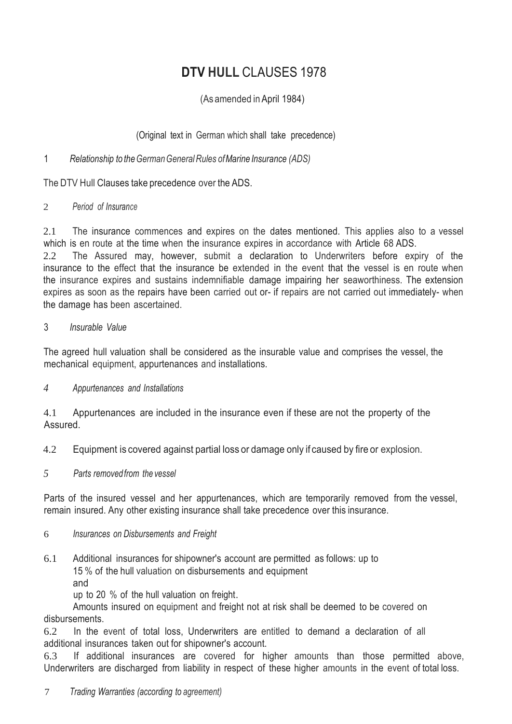# **DTV HULL** CLAUSES 1978

(As amended in April 1984)

(Original text in German which shall take precedence)

1 *Relationship to theGermanGeneralRules ofMarine Insurance (ADS)*

The DTV Hull Clauses take precedence over the ADS.

# 2 *Period of Insurance*

2.1 The insurance commences and expires on the dates mentioned. This applies also to a vessel which is en route at the time when the insurance expires in accordance with Article 68 ADS.

2.2 The Assured may, however, submit a declaration to Underwriters before expiry of the insurance to the effect that the insurance be extended in the event that the vessel is en route when the insurance expires and sustains indemnifiable damage impairing her seaworthiness. The extension expires as soon as the repairs have been carried out or- if repairs are not carried out immediately- when the damage has been ascertained.

# 3 *Insurable Value*

The agreed hull valuation shall be considered as the insurable value and comprises the vessel, the mechanical equipment, appurtenances and installations.

# *4 Appurtenances and Installations*

4.1 Appurtenances are included in the insurance even if these are not the property of the Assured.

4.2 Equipment is covered against partial loss or damage only if caused by fire or explosion.

*5 Parts removedfrom the vessel*

Parts of the insured vessel and her appurtenances, which are temporarily removed from the vessel, remain insured. Any other existing insurance shall take precedence over this insurance.

# 6 *Insurances on Disbursements and Freight*

- 6.1 Additional insurances for shipowner's account are permitted as follows: up to 15 % of the hull valuation on disbursements and equipment
	- and

up to 20 % of the hull valuation on freight.

Amounts insured on equipment and freight not at risk shall be deemed to be covered on disbursements.

6.2 In the event of total loss, Underwriters are entitled to demand a declaration of all additional insurances taken out for shipowner's account.

6.3 If additional insurances are covered for higher amounts than those permitted above, Underwriters are discharged from liability in respect of these higher amounts in the event of total loss.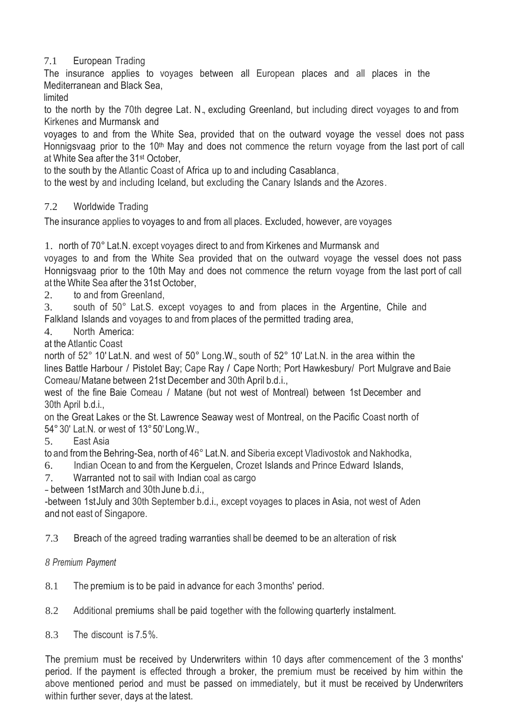# 7.1 European Trading

The insurance applies to voyages between all European places and all places in the Mediterranean and Black Sea,

limited

to the north by the 70th degree Lat. N., excluding Greenland, but including direct voyages to and from Kirkenes and Murmansk and

voyages to and from the White Sea, provided that on the outward voyage the vessel does not pass Honnigsvaag prior to the 10<sup>th</sup> May and does not commence the return voyage from the last port of call at White Sea after the 31st October,

to the south by the Atlantic Coast of Africa up to and including Casablanca,

to the west by and including Iceland, but excluding the Canary Islands and the Azores.

# 7.2 Worldwide Trading

The insurance applies to voyages to and from all places. Excluded, however, are voyages

1. north of 70° Lat.N. except voyages direct to and from Kirkenes and Murmansk and voyages to and from the White Sea provided that on the outward voyage the vessel does not pass Honnigsvaag prior to the 10th May and does not commence the return voyage from the last port of call at the White Sea after the 31st October,

2. to and from Greenland,

3. south of 50° Lat.S. except voyages to and from places in the Argentine, Chile and Falkland Islands and voyages to and from places of the permitted trading area,

4. North America:

at the Atlantic Coast

north of 52° 10' Lat.N. and west of 50° Long.W., south of 52° 10' Lat.N. in the area within the lines Battle Harbour / Pistolet Bay; Cape Ray / Cape North; Port Hawkesbury/ Port Mulgrave and Baie Comeau/Matane between 21st December and 30th April b.d.i.,

west of the fine Baie Comeau / Matane (but not west of Montreal) between 1st December and 30th April b.d.i.,

on the Great Lakes or the St. Lawrence Seaway west of Montreal, on the Pacific Coast north of 54° 30' Lat.N. or west of 13°50' Long.W.,

5. East Asia

to and fromthe Behring-Sea, north of 46° Lat.N. and Siberia except Vladivostok and Nakhodka,

- 6. Indian Ocean to and from the Kerguelen, Crozet Islands and Prince Edward Islands,
- 7. Warranted not to sail with Indian coal as cargo

- between 1stMarch and 30th June b.d.i.,

-between 1stJuly and 30th September b.d.i., except voyages to places in Asia, not west of Aden and not east of Singapore.

7.3 Breach of the agreed trading warranties shall be deemed to be an alteration of risk

# *8 Premium Payment*

8.1 The premium is to be paid in advance for each 3months' period.

8.2 Additional premiums shall be paid together with the following quarterly instalment.

8.3 The discount is 7.5%.

The premium must be received by Underwriters within 10 days after commencement of the 3 months' period. If the payment is effected through a broker, the premium must be received by him within the above mentioned period and must be passed on immediately, but it must be received by Underwriters within further sever, days at the latest.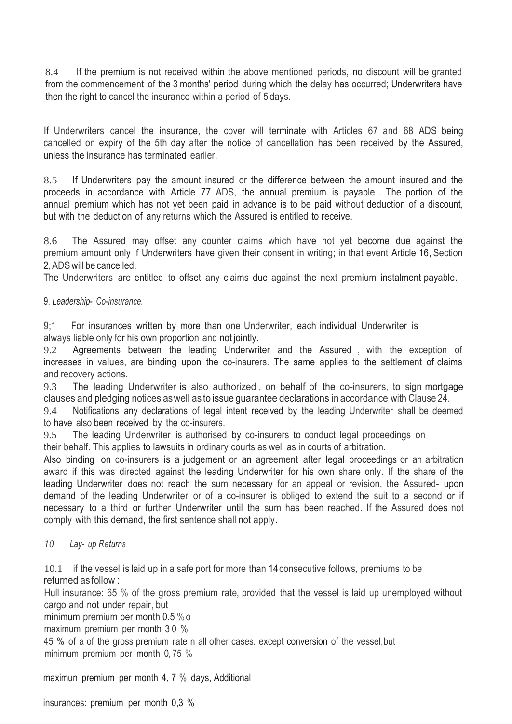8.4 If the premium is not received within the above mentioned periods, no discount will be granted from the commencement of the 3 months' period during which the delay has occurred; Underwriters have then the right to cancel the insurance within a period of 5 days.

If Underwriters cancel the insurance, the cover will terminate with Articles 67 and 68 ADS being cancelled on expiry of the 5th day after the notice of cancellation has been received by the Assured, unless the insurance has terminated earlier.

8.5 If Underwriters pay the amount insured or the difference between the amount insured and the proceeds in accordance with Article 77 ADS, the annual premium is payable . The portion of the annual premium which has not yet been paid in advance is to be paid without deduction of a discount, but with the deduction of any returns which the Assured is entitled to receive.

8.6 The Assured may offset any counter claims which have not yet become due against the premium amount only if Underwriters have given their consent in writing; in that event Article 16, Section 2,ADSwill be cancelled.

The Underwriters are entitled to offset any claims due against the next premium instalment payable.

9. *Leadership- Co-insurance.*

9;1 For insurances written by more than one Underwriter, each individual Underwriter is always liable only for his own proportion and not jointly.

9.2 Agreements between the leading Underwriter and the Assured , with the exception of increases in values, are binding upon the co-insurers. The same applies to the settlement of claims and recovery actions.

9.3 The leading Underwriter is also authorized , on behalf of the co-insurers, to sign mortgage clauses and pledging notices aswell as to issue guarantee declarations in accordance with Clause 24.

9.4 Notifications any declarations of legal intent received by the leading Underwriter shall be deemed to have also been received by the co-insurers.

9.5 The leading Underwriter is authorised by co-insurers to conduct legal proceedings on

their behalf. This applies to lawsuits in ordinary courts as well as in courts of arbitration.

Also binding on co-insurers is a judgement or an agreement after legal proceedings or an arbitration award if this was directed against the leading Underwriter for his own share only. If the share of the leading Underwriter does not reach the sum necessary for an appeal or revision, the Assured- upon demand of the leading Underwriter or of a co-insurer is obliged to extend the suit to a second or if necessary to a third or further Underwriter until the sum has been reached. If the Assured does not comply with this demand, the first sentence shall not apply.

# *10 Lay- up Returns*

10.1 if the vessel is laid up in a safe port for more than 14consecutive follows, premiums to be returned as follow :

Hull insurance: 65 % of the gross premium rate, provided that the vessel is laid up unemployed without cargo and not under repair, but

minimum premium per month 0.5 %o

maximum premium per month 3 0 %

45 % of a of the gross premium rate n all other cases. except conversion of the vessel,but minimum premium per month 0, 75 %

maximun premium per month 4, 7 % days, Additional

insurances: premium per month 0,3 %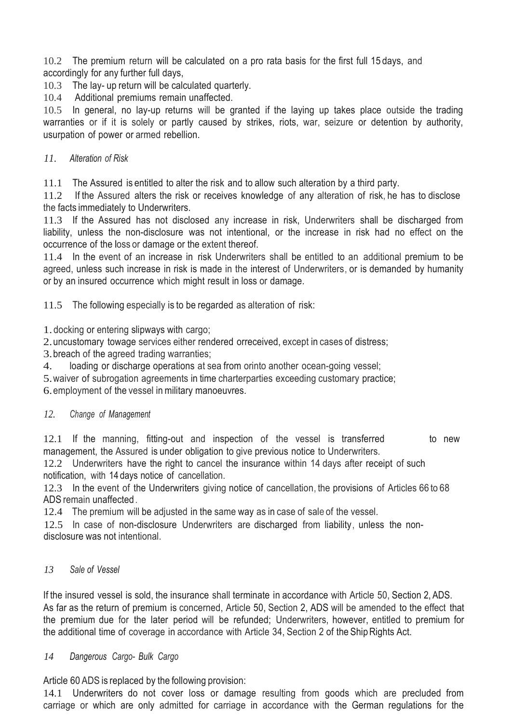10.2 The premium return will be calculated on a pro rata basis for the first full 15 days, and accordingly for any further full days,

10.3 The lay- up return will be calculated quarterly.

10.4 Additional premiums remain unaffected.

10.5 In general, no lay-up returns will be granted if the laying up takes place outside the trading warranties or if it is solely or partly caused by strikes, riots, war, seizure or detention by authority, usurpation of power or armed rebellion.

# *11. Alteration of Risk*

11.1 The Assured is entitled to alter the risk and to allow such alteration by a third party.

11.2 If the Assured alters the risk or receives knowledge of any alteration of risk, he has to disclose the facts immediately to Underwriters.

11.3 If the Assured has not disclosed any increase in risk, Underwriters shall be discharged from liability, unless the non-disclosure was not intentional, or the increase in risk had no effect on the occurrence of the loss or damage or the extent thereof.

11.4 In the event of an increase in risk Underwriters shall be entitled to an additional premium to be agreed, unless such increase in risk is made in the interest of Underwriters, or is demanded by humanity or by an insured occurrence which might result in loss or damage.

11.5 The following especially is to be regarded as alteration of risk:

1. docking or entering slipways with cargo;

2.uncustomary towage services either rendered orreceived, except in cases of distress;

3.breach of the agreed trading warranties;

4. loading or discharge operations at sea from orinto another ocean-going vessel;

5.waiver of subrogation agreements in time charterparties exceeding customary practice;

6.employment of the vessel inmilitary manoeuvres.

# *12. Change of Management*

12.1 If the manning, fitting-out and inspection of the vessel is transferred to new management, the Assured is under obligation to give previous notice to Underwriters.

12.2 Underwriters have the right to cancel the insurance within 14 days after receipt of such notification, with 14 days notice of cancellation.

12.3 In the event of the Underwriters giving notice of cancellation, the provisions of Articles 66 to 68 ADS remain unaffected .

12.4 The premium will be adjusted in the same way as in case of sale of the vessel.

12.5 In case of non-disclosure Underwriters are discharged from liability, unless the nondisclosure was not intentional.

# *13 Sale of Vessel*

If the insured vessel is sold, the insurance shall terminate in accordance with Article 50, Section 2, ADS. As far as the return of premium is concerned, Article 50, Section 2, ADS will be amended to the effect that the premium due for the later period will be refunded; Underwriters, however, entitled to premium for the additional time of coverage in accordance with Article 34, Section 2 of the Ship Rights Act.

# *14 Dangerous Cargo- Bulk Cargo*

Article 60 ADS is replaced by the following provision:

14.1 Underwriters do not cover loss or damage resulting from goods which are precluded from carriage or which are only admitted for carriage in accordance with the German regulations for the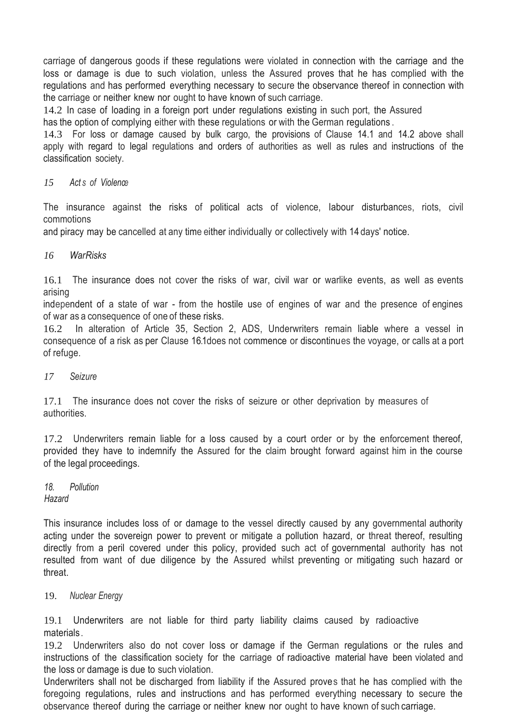carriage of dangerous goods if these regulations were violated in connection with the carriage and the loss or damage is due to such violation, unless the Assured proves that he has complied with the regulations and has performed everything necessary to secure the observance thereof in connection with the carriage or neither knew nor ought to have known of such carriage.

14.2 In case of loading in a foreign port under regulations existing in such port, the Assured has the option of complying either with these regulations or with the German regulations .

14.3 For loss or damage caused by bulk cargo, the provisions of Clause 14.1 and 14.2 above shall apply with regard to legal regulations and orders of authorities as well as rules and instructions of the classification society.

#### *15 Act s of Violence*

The insurance against the risks of political acts of violence, labour disturbances, riots, civil commotions

and piracy may be cancelled at any time either individually or collectively with 14 days' notice.

#### *16 WarRisks*

16.1 The insurance does not cover the risks of war, civil war or warlike events, as well as events arising

independent of a state of war - from the hostile use of engines of war and the presence of engines of war as a consequence of one of these risks.

16.2 In alteration of Article 35, Section 2, ADS, Underwriters remain liable where a vessel in consequence of a risk as per Clause 16.1does not commence or discontinues the voyage, or calls at a port of refuge.

#### *17 Seizure*

17.1 The insurance does not cover the risks of seizure or other deprivation by measures of authorities.

17.2 Underwriters remain liable for a loss caused by a court order or by the enforcement thereof, provided they have to indemnify the Assured for the claim brought forward against him in the course of the legal proceedings.

*18. Pollution Hazard*

This insurance includes loss of or damage to the vessel directly caused by any governmental authority acting under the sovereign power to prevent or mitigate a pollution hazard, or threat thereof, resulting directly from a peril covered under this policy, provided such act of governmental authority has not resulted from want of due diligence by the Assured whilst preventing or mitigating such hazard or threat.

#### 19. *Nuclear Energy*

19.1 Underwriters are not liable for third party liability claims caused by radioactive materials .

19.2 Underwriters also do not cover loss or damage if the German regulations or the rules and instructions of the classification society for the carriage of radioactive material have been violated and the loss or damage is due to such violation.

Underwriters shall not be discharged from liability if the Assured proves that he has complied with the foregoing regulations, rules and instructions and has performed everything necessary to secure the observance thereof during the carriage or neither knew nor ought to have known of such carriage.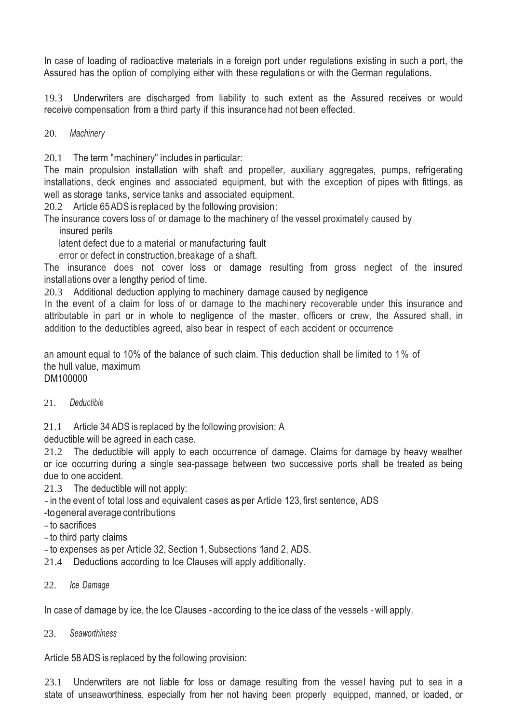In case of loading of radioactive materials in a foreign port under regulations existing in such a port, the Assured has the option of complying either with these regulations or with the German regulations.

19.3 Underwriters are discharged from liability to such extent as the Assured receives or would receive compensation from a third party if this insurance had not been effected.

20. *Machinery*

20.1 The term "machinery" includes in particular:

The main propulsion installation with shaft and propeller, auxiliary aggregates, pumps, refrigerating installations, deck engines and associated equipment, but with the exception of pipes with fittings, as well as storage tanks, service tanks and associated equipment.

20.2 Article 65ADS is replaced by the following provision:

The insurance covers loss of or damage to the machinery of the vessel proximately caused by

insured perils

latent defect due to a material or manufacturing fault

error or defect in construction,breakage of a shaft.

The insurance does not cover loss or damage resulting from gross neglect of the insured installations over a lengthy period of time.

20.3 Additional deduction applying to machinery damage caused by negligence

In the event of a claim for loss of or damage to the machinery recoverable under this insurance and attributable in part or in whole to negligence of the master, officers or crew, the Assured shall, in addition to the deductibles agreed, also bear in respect of each accident or occurrence

an amount equal to 10% of the balance of such claim. This deduction shall be limited to 1% of the hull value, maximum DM100000

21. *Deductible*

21.1 Article 34 ADS is replaced by the following provision: A

deductible will be agreed in each case.

21.2 The deductible will apply to each occurrence of damage. Claims for damage by heavy weather or ice occurring during a single sea-passage between two successive ports shall be treated as being due to one accident.

21.3 The deductible will not apply:

-in the event of total loss and equivalent cases as per Article 123,first sentence, ADS

-togeneral average contributions

-to sacrifices

-to third party claims

-to expenses as per Article 32, Section 1,Subsections 1and 2, ADS.

21.4 Deductions according to Ice Clauses will apply additionally.

# 22. *Ice Damage*

In case of damage by ice, the Ice Clauses - according to the ice class of the vessels -will apply.

# 23. *Seaworthiness*

Article 58ADS is replaced by the following provision:

23.1 Underwriters are not liable for loss or damage resulting from the vessel having put to sea in a state of unseaworthiness, especially from her not having been properly equipped, manned, or loaded, or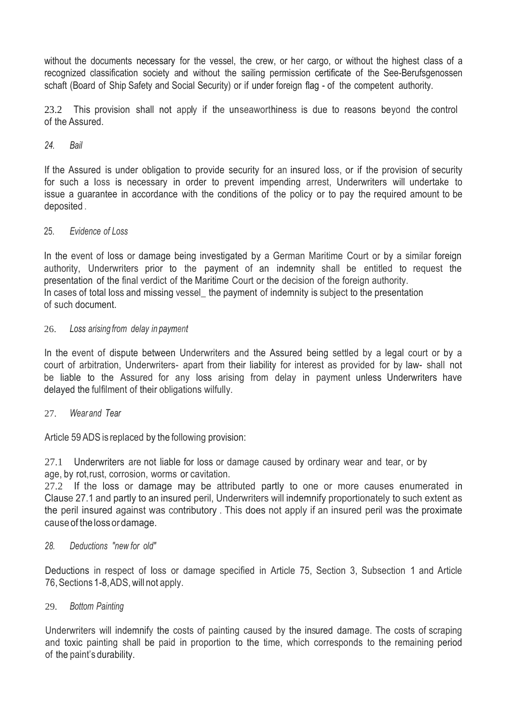without the documents necessary for the vessel, the crew, or her cargo, or without the highest class of a recognized classification society and without the sailing permission certificate of the See-Berufsgenossen schaft (Board of Ship Safety and Social Security) or if under foreign flag - of the competent authority.

23.2 This provision shall not apply if the unseaworthiness is due to reasons beyond the control of the Assured.

#### *24. Bail*

If the Assured is under obligation to provide security for an insured loss, or if the provision of security for such a loss is necessary in order to prevent impending arrest, Underwriters will undertake to issue a guarantee in accordance with the conditions of the policy or to pay the required amount to be deposited .

#### 25. *Evidence of Loss*

In the event of loss or damage being investigated by a German Maritime Court or by a similar foreign authority, Underwriters prior to the payment of an indemnity shall be entitled to request the presentation of the final verdict of the Maritime Court or the decision of the foreign authority. In cases of total loss and missing vessel the payment of indemnity is subject to the presentation of such document.

#### 26. *Loss arising from delay in payment*

In the event of dispute between Underwriters and the Assured being settled by a legal court or by a court of arbitration, Underwriters- apart from their liability for interest as provided for by law- shall not be liable to the Assured for any loss arising from delay in payment unless Underwriters have delayed the fulfilment of their obligations wilfully.

# 27. *Wear and Tear*

Article 59 ADS is replaced by the following provision:

27.1 Underwriters are not liable for loss or damage caused by ordinary wear and tear, or by age, by rot,rust, corrosion, worms or cavitation.

27.2 If the loss or damage may be attributed partly to one or more causes enumerated in Clause 27.1 and partly to an insured peril, Underwriters will indemnify proportionately to such extent as the peril insured against was contributory . This does not apply if an insured peril was the proximate causeof thelossordamage.

#### *28. Deductions "new for old"*

Deductions in respect of loss or damage specified in Article 75, Section 3, Subsection 1 and Article 76,Sections 1-8,ADS,will not apply.

#### 29. *Bottom Painting*

Underwriters will indemnify the costs of painting caused by the insured damage. The costs of scraping and toxic painting shall be paid in proportion to the time, which corresponds to the remaining period of the paint's durability.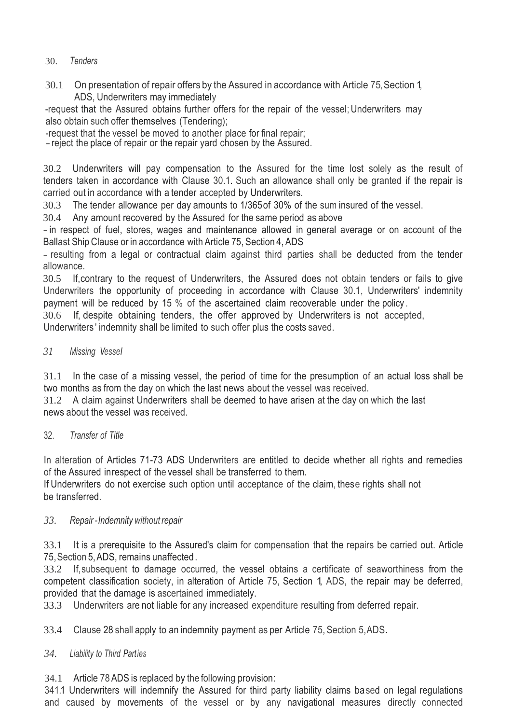# 30. *Tenders*

30.1 On presentation of repair offers by the Assured in accordance with Article 75, Section 1, ADS, Underwriters may immediately

-request that the Assured obtains further offers for the repair of the vessel;Underwriters may also obtain such offer themselves (Tendering);

-request that the vessel be moved to another place for final repair;

-reject the place of repair or the repair yard chosen by the Assured.

30.2 Underwriters will pay compensation to the Assured for the time lost solely as the result of tenders taken in accordance with Clause 30.1. Such an allowance shall only be granted if the repair is carried out in accordance with a tender accepted by Underwriters.

30.3 The tender allowance per day amounts to 1/365of 30% of the sum insured of the vessel.

30.4 Any amount recovered by the Assured for the same period as above

-in respect of fuel, stores, wages and maintenance allowed in general average or on account of the Ballast Ship Clause or in accordance with Article 75, Section 4, ADS

- resulting from a legal or contractual claim against third parties shall be deducted from the tender allowance.

30.5 If,contrary to the request of Underwriters, the Assured does not obtain tenders or fails to give Underwriters the opportunity of proceeding in accordance with Clause 30.1, Underwriters' indemnity payment will be reduced by 15 % of the ascertained claim recoverable under the policy .

30.6 If, despite obtaining tenders, the offer approved by Underwriters is not accepted,

Underwriters ' indemnity shall be limited to such offer plus the costs saved.

# *31 Missing Vessel*

31.1 In the case of a missing vessel, the period of time for the presumption of an actual loss shall be two months as from the day on which the last news about the vessel was received.

31.2 A claim against Underwriters shall be deemed to have arisen at the day on which the last news about the vessel was received.

# 32. *Transfer of Title*

In alteration of Articles 71-73 ADS Underwriters are entitled to decide whether all rights and remedies of the Assured inrespect of the vessel shall be transferred to them.

If Underwriters do not exercise such option until acceptance of the claim, these rights shall not be transferred.

# *33. Repair -Indemnity without repair*

33.1 It is a prerequisite to the Assured's claim for compensation that the repairs be carried out. Article 75,Section 5,ADS, remains unaffected.

33.2 If,subsequent to damage occurred, the vessel obtains a certificate of seaworthiness from the competent classification society, in alteration of Article 75, Section 1, ADS, the repair may be deferred, provided that the damage is ascertained immediately.

33.3 Underwriters are not liable for any increased expenditure resulting from deferred repair.

33.4 Clause 28 shall apply to an indemnity payment as per Article 75, Section 5,ADS.

# *34. Liability to Third Parties*

34.1 Article 78ADS is replaced by the following provision:

341.1 Underwriters will indemnify the Assured for third party liability claims based on legal regulations and caused by movements of the vessel or by any navigational measures directly connected